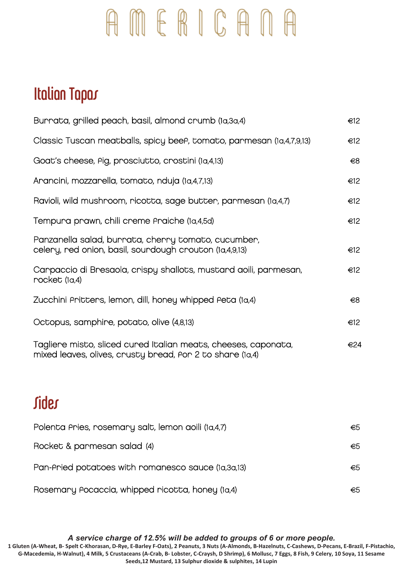## AMERICANA

## Italian Tapas

| Burrata, grilled peach, basil, almond crumb (1a,3a,4)                                                                       | $\epsilon$ 12 |
|-----------------------------------------------------------------------------------------------------------------------------|---------------|
| Classic Tuscan meatballs, spicy beef, tomato, parmesan (1a,4,7,9,13)                                                        | $\epsilon$ 12 |
| Goat's cheese, Pig, prosciutto, crostini (1a,4,13)                                                                          | €8            |
| Arancini, mozzarella, tomato, nduja (1a,4,7,13)                                                                             | $\epsilon$ 12 |
| Ravioli, wild mushroom, ricotta, sage butter, parmesan (1a,4,7)                                                             | $\epsilon$ 12 |
| Tempura prawn, chili creme Praiche (1a,4,5d)                                                                                | €12           |
| Panzanella salad, burrata, cherry tomato, cucumber,<br>celery, red onion, basil, sourdough crouton (1a,4,9,13)              | $\epsilon$ 12 |
| Carpaccio di Bresaola, crispy shallots, mustard aoili, parmesan,<br>rocket (1a,4)                                           | E             |
| Zucchini Pritters, lemon, dill, honey whipped Peta (1a,4)                                                                   | $\epsilon$ 8  |
| Octopus, samphire, potato, olive (4,8,13)                                                                                   | €12           |
| Tagliere misto, sliced cured Italian meats, cheeses, caponata,<br>mixed leaves, olives, crusty bread, Por 2 to share (1a,4) | €24           |
| Sides                                                                                                                       |               |

| Polenta Aries, rosemary salt, lemon aoili (1a,4,7) | €5  |
|----------------------------------------------------|-----|
| Rocket & parmesan salad (4)                        | €5  |
| Pan-Aried potatoes with romanesco sauce (1a,3a,13) | €5  |
| Rosemary Pocaccia, whipped ricotta, honey (1a,4)   | €5. |

*A service charge of 12.5% will be added to groups of 6 or more people.*

**1 Gluten (A-Wheat, B- Spelt C-Khorasan, D-Rye, E-Barley F-Oats), 2 Peanuts, 3 Nuts (A-Almonds, B-Hazelnuts, C-Cashews, D-Pecans, E-Brazil, F-Pistachio, G-Macedemia, H-Walnut), 4 Milk, 5 Crustaceans (A-Crab, B- Lobster, C-Craysh, D Shrimp), 6 Mollusc, 7 Eggs, 8 Fish, 9 Celery, 10 Soya, 11 Sesame Seeds,12 Mustard, 13 Sulphur dioxide & sulphites, 14 Lupin**